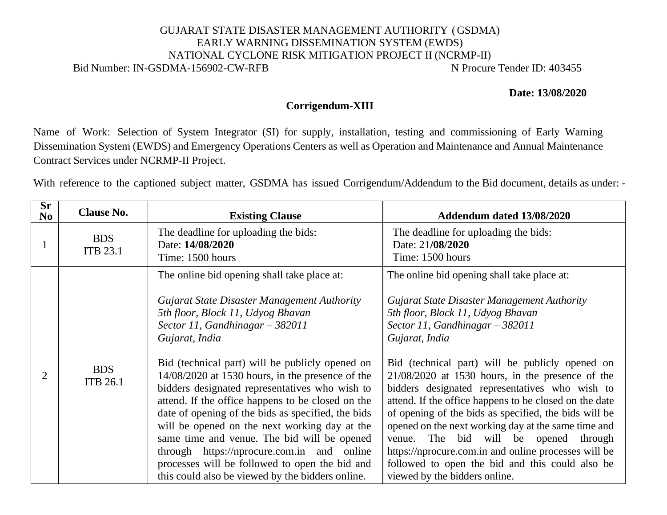## GUJARAT STATE DISASTER MANAGEMENT AUTHORITY (GSDMA) EARLY WARNING DISSEMINATION SYSTEM (EWDS) NATIONAL CYCLONE RISK MITIGATION PROJECT II (NCRMP-II) Bid Number: IN-GSDMA-156902-CW-RFB N Procure Tender ID: 403455

## **Date: 13/08/2020**

## **Corrigendum-XIII**

Name of Work: Selection of System Integrator (SI) for supply, installation, testing and commissioning of Early Warning Dissemination System (EWDS) and Emergency Operations Centers as well as Operation and Maintenance and Annual Maintenance Contract Services under NCRMP-II Project.

With reference to the captioned subject matter, GSDMA has issued Corrigendum/Addendum to the Bid document, details as under: -

| $\overline{\text{Sr}}$<br>N <sub>0</sub> | <b>Clause No.</b>             | <b>Existing Clause</b>                                                                                                                                                                                                                                                                                                                                                                                                                                                                                                                                                                                                                                                                                           | Addendum dated 13/08/2020                                                                                                                                                                                                                                                                                                                                                                                                                                                                                                                                                                                                                                                                                             |
|------------------------------------------|-------------------------------|------------------------------------------------------------------------------------------------------------------------------------------------------------------------------------------------------------------------------------------------------------------------------------------------------------------------------------------------------------------------------------------------------------------------------------------------------------------------------------------------------------------------------------------------------------------------------------------------------------------------------------------------------------------------------------------------------------------|-----------------------------------------------------------------------------------------------------------------------------------------------------------------------------------------------------------------------------------------------------------------------------------------------------------------------------------------------------------------------------------------------------------------------------------------------------------------------------------------------------------------------------------------------------------------------------------------------------------------------------------------------------------------------------------------------------------------------|
|                                          | <b>BDS</b><br><b>ITB 23.1</b> | The deadline for uploading the bids:<br>Date: 14/08/2020<br>Time: 1500 hours                                                                                                                                                                                                                                                                                                                                                                                                                                                                                                                                                                                                                                     | The deadline for uploading the bids:<br>Date: 21/08/2020<br>Time: 1500 hours                                                                                                                                                                                                                                                                                                                                                                                                                                                                                                                                                                                                                                          |
| 2                                        | <b>BDS</b><br><b>ITB 26.1</b> | The online bid opening shall take place at:<br>Gujarat State Disaster Management Authority<br>5th floor, Block 11, Udyog Bhavan<br>Sector 11, Gandhinagar $-$ 382011<br>Gujarat, India<br>Bid (technical part) will be publicly opened on<br>$14/08/2020$ at 1530 hours, in the presence of the<br>bidders designated representatives who wish to<br>attend. If the office happens to be closed on the<br>date of opening of the bids as specified, the bids<br>will be opened on the next working day at the<br>same time and venue. The bid will be opened<br>through https://nprocure.com.in and online<br>processes will be followed to open the bid and<br>this could also be viewed by the bidders online. | The online bid opening shall take place at:<br>Gujarat State Disaster Management Authority<br>5th floor, Block 11, Udyog Bhavan<br>Sector 11, Gandhinagar $-382011$<br>Gujarat, India<br>Bid (technical part) will be publicly opened on<br>$21/08/2020$ at 1530 hours, in the presence of the<br>bidders designated representatives who wish to<br>attend. If the office happens to be closed on the date<br>of opening of the bids as specified, the bids will be<br>opened on the next working day at the same time and<br>The bid will be opened<br>through<br>venue.<br>https://nprocure.com.in and online processes will be<br>followed to open the bid and this could also be<br>viewed by the bidders online. |